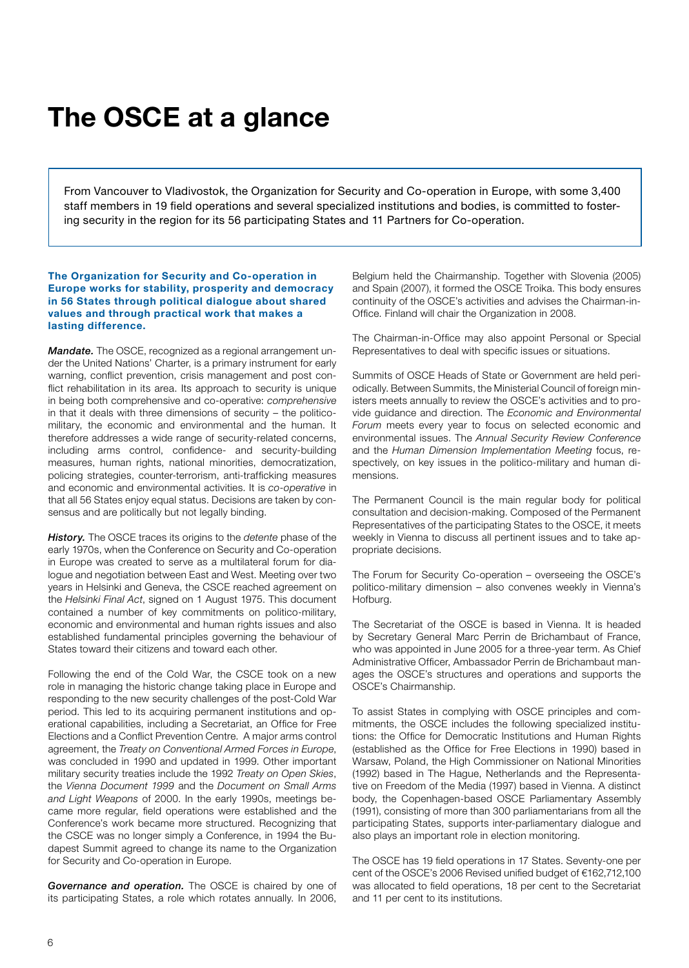## **The OSCE at a glance**

From Vancouver to Vladivostok, the Organization for Security and Co-operation in Europe, with some 3,400 staff members in 19 field operations and several specialized institutions and bodies, is committed to fostering security in the region for its 56 participating States and 11 Partners for Co-operation.

## **The Organization for Security and Co-operation in Europe works for stability, prosperity and democracy in 56 States through political dialogue about shared values and through practical work that makes a lasting difference.**

*Mandate.* The OSCE, recognized as a regional arrangement under the United Nations' Charter, is a primary instrument for early warning, conflict prevention, crisis management and post conflict rehabilitation in its area. Its approach to security is unique in being both comprehensive and co-operative: *comprehensive* in that it deals with three dimensions of security – the politicomilitary, the economic and environmental and the human. It therefore addresses a wide range of security-related concerns, including arms control, confidence- and security-building measures, human rights, national minorities, democratization, policing strategies, counter-terrorism, anti-trafficking measures and economic and environmental activities. It is *co-operative* in that all 56 States enjoy equal status. Decisions are taken by consensus and are politically but not legally binding.

*History.* The OSCE traces its origins to the *detente* phase of the early 1970s, when the Conference on Security and Co-operation in Europe was created to serve as a multilateral forum for dialogue and negotiation between East and West. Meeting over two years in Helsinki and Geneva, the CSCE reached agreement on the *Helsinki Final Act*, signed on 1 August 1975. This document contained a number of key commitments on politico-military, economic and environmental and human rights issues and also established fundamental principles governing the behaviour of States toward their citizens and toward each other.

Following the end of the Cold War, the CSCE took on a new role in managing the historic change taking place in Europe and responding to the new security challenges of the post-Cold War period. This led to its acquiring permanent institutions and operational capabilities, including a Secretariat, an Office for Free Elections and a Conflict Prevention Centre. A major arms control agreement, the *Treaty on Conventional Armed Forces in Europe*, was concluded in 1990 and updated in 1999. Other important military security treaties include the 1992 *Treaty on Open Skies*, the *Vienna Document 1999* and the *Document on Small Arms and Light Weapons* of 2000. In the early 1990s, meetings became more regular, field operations were established and the Conference's work became more structured. Recognizing that the CSCE was no longer simply a Conference, in 1994 the Budapest Summit agreed to change its name to the Organization for Security and Co-operation in Europe.

*Governance and operation.* The OSCE is chaired by one of its participating States, a role which rotates annually. In 2006,

Belgium held the Chairmanship. Together with Slovenia (2005) and Spain (2007), it formed the OSCE Troika. This body ensures continuity of the OSCE's activities and advises the Chairman-in-Office. Finland will chair the Organization in 2008.

The Chairman-in-Office may also appoint Personal or Special Representatives to deal with specific issues or situations.

Summits of OSCE Heads of State or Government are held periodically. Between Summits, the Ministerial Council of foreign ministers meets annually to review the OSCE's activities and to provide guidance and direction. The *Economic and Environmental Forum* meets every year to focus on selected economic and environmental issues. The *Annual Security Review Conference* and the *Human Dimension Implementation Meeting* focus, respectively, on key issues in the politico-military and human dimensions.

The Permanent Council is the main regular body for political consultation and decision-making. Composed of the Permanent Representatives of the participating States to the OSCE, it meets weekly in Vienna to discuss all pertinent issues and to take appropriate decisions.

The Forum for Security Co-operation – overseeing the OSCE's politico-military dimension – also convenes weekly in Vienna's Hofburg.

The Secretariat of the OSCE is based in Vienna. It is headed by Secretary General Marc Perrin de Brichambaut of France, who was appointed in June 2005 for a three-year term. As Chief Administrative Officer, Ambassador Perrin de Brichambaut manages the OSCE's structures and operations and supports the OSCE's Chairmanship.

To assist States in complying with OSCE principles and commitments, the OSCE includes the following specialized institutions: the Office for Democratic Institutions and Human Rights (established as the Office for Free Elections in 1990) based in Warsaw, Poland, the High Commissioner on National Minorities (1992) based in The Hague, Netherlands and the Representative on Freedom of the Media (1997) based in Vienna. A distinct body, the Copenhagen-based OSCE Parliamentary Assembly (1991), consisting of more than 300 parliamentarians from all the participating States, supports inter-parliamentary dialogue and also plays an important role in election monitoring.

The OSCE has 19 field operations in 17 States. Seventy-one per cent of the OSCE's 2006 Revised unified budget of €162,712,100 was allocated to field operations, 18 per cent to the Secretariat and 11 per cent to its institutions.